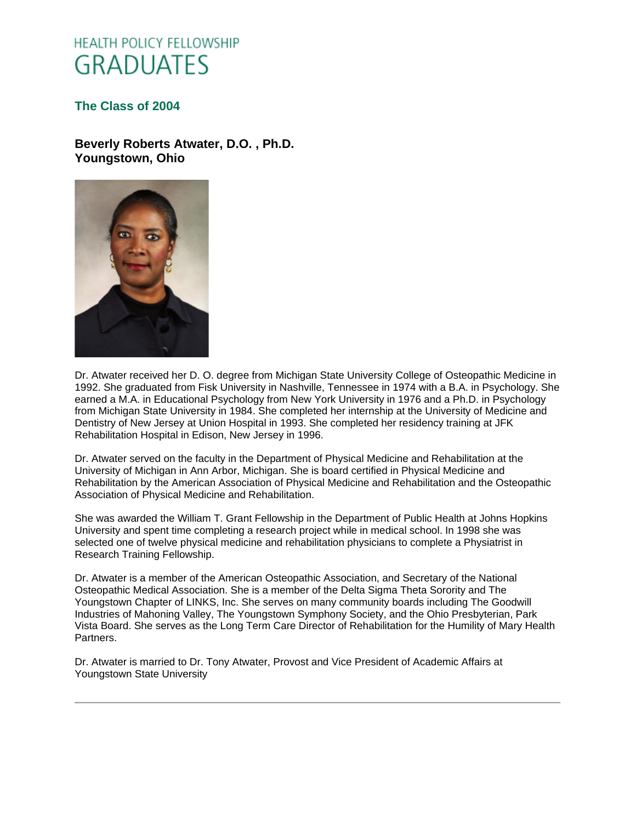# **HEALTH POLICY FELLOWSHIP GRADUATES**

### **[The Class of 2004](http://www.oucom.ohiou.edu/hpf/Graduates2010.htm)**

**Beverly Roberts Atwater, D.O. , Ph.D. Youngstown, Ohio**



Dr. Atwater received her D. O. degree from Michigan State University College of Osteopathic Medicine in 1992. She graduated from Fisk University in Nashville, Tennessee in 1974 with a B.A. in Psychology. She earned a M.A. in Educational Psychology from New York University in 1976 and a Ph.D. in Psychology from Michigan State University in 1984. She completed her internship at the University of Medicine and Dentistry of New Jersey at Union Hospital in 1993. She completed her residency training at JFK Rehabilitation Hospital in Edison, New Jersey in 1996.

Dr. Atwater served on the faculty in the Department of Physical Medicine and Rehabilitation at the University of Michigan in Ann Arbor, Michigan. She is board certified in Physical Medicine and Rehabilitation by the American Association of Physical Medicine and Rehabilitation and the Osteopathic Association of Physical Medicine and Rehabilitation.

She was awarded the William T. Grant Fellowship in the Department of Public Health at Johns Hopkins University and spent time completing a research project while in medical school. In 1998 she was selected one of twelve physical medicine and rehabilitation physicians to complete a Physiatrist in Research Training Fellowship.

Dr. Atwater is a member of the American Osteopathic Association, and Secretary of the National Osteopathic Medical Association. She is a member of the Delta Sigma Theta Sorority and The Youngstown Chapter of LINKS, Inc. She serves on many community boards including The Goodwill Industries of Mahoning Valley, The Youngstown Symphony Society, and the Ohio Presbyterian, Park Vista Board. She serves as the Long Term Care Director of Rehabilitation for the Humility of Mary Health Partners.

Dr. Atwater is married to Dr. Tony Atwater, Provost and Vice President of Academic Affairs at Youngstown State University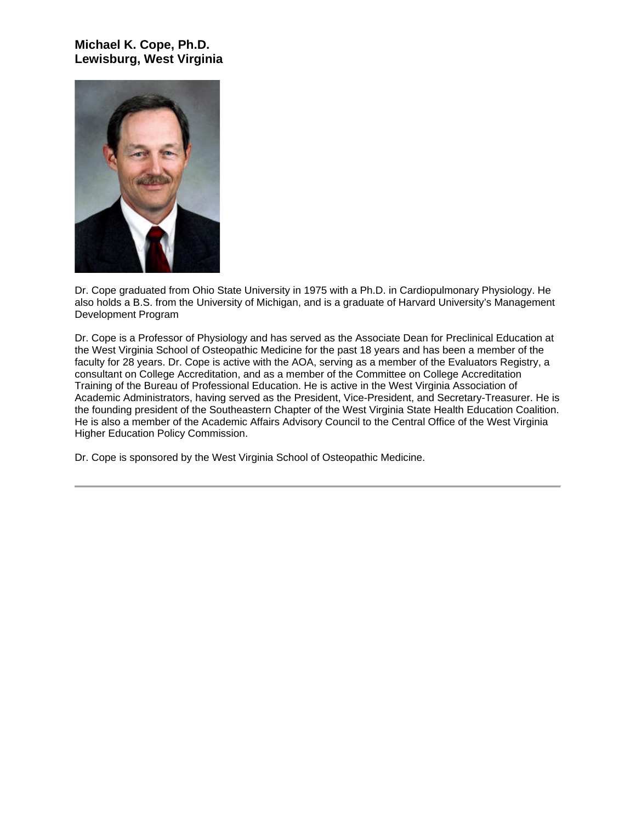# **Michael K. Cope, Ph.D. Lewisburg, West Virginia**



Dr. Cope graduated from Ohio State University in 1975 with a Ph.D. in Cardiopulmonary Physiology. He also holds a B.S. from the University of Michigan, and is a graduate of Harvard University's Management Development Program

Dr. Cope is a Professor of Physiology and has served as the Associate Dean for Preclinical Education at the West Virginia School of Osteopathic Medicine for the past 18 years and has been a member of the faculty for 28 years. Dr. Cope is active with the AOA, serving as a member of the Evaluators Registry, a consultant on College Accreditation, and as a member of the Committee on College Accreditation Training of the Bureau of Professional Education. He is active in the West Virginia Association of Academic Administrators, having served as the President, Vice-President, and Secretary-Treasurer. He is the founding president of the Southeastern Chapter of the West Virginia State Health Education Coalition. He is also a member of the Academic Affairs Advisory Council to the Central Office of the West Virginia Higher Education Policy Commission.

Dr. Cope is sponsored by the West Virginia School of Osteopathic Medicine.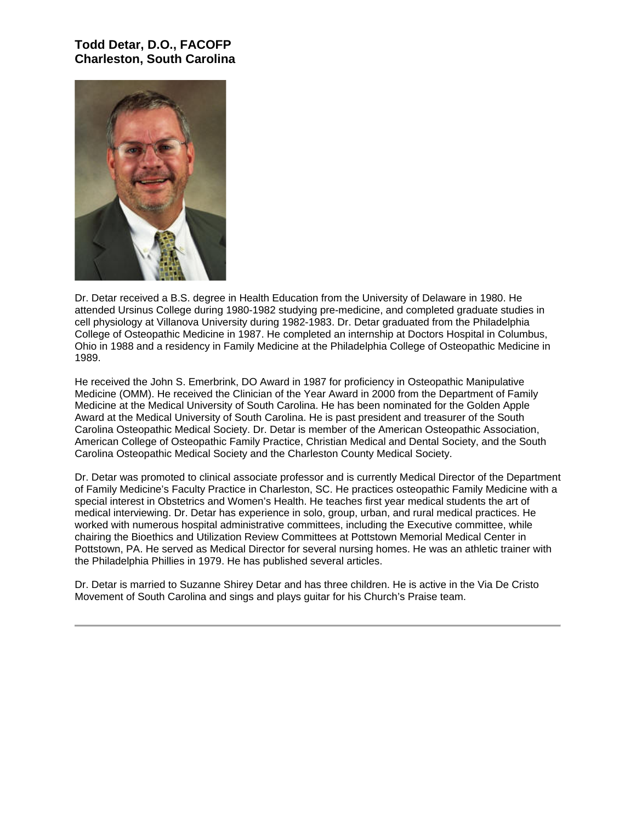# **Todd Detar, D.O., FACOFP Charleston, South Carolina**



Dr. Detar received a B.S. degree in Health Education from the University of Delaware in 1980. He attended Ursinus College during 1980-1982 studying pre-medicine, and completed graduate studies in cell physiology at Villanova University during 1982-1983. Dr. Detar graduated from the Philadelphia College of Osteopathic Medicine in 1987. He completed an internship at Doctors Hospital in Columbus, Ohio in 1988 and a residency in Family Medicine at the Philadelphia College of Osteopathic Medicine in 1989.

He received the John S. Emerbrink, DO Award in 1987 for proficiency in Osteopathic Manipulative Medicine (OMM). He received the Clinician of the Year Award in 2000 from the Department of Family Medicine at the Medical University of South Carolina. He has been nominated for the Golden Apple Award at the Medical University of South Carolina. He is past president and treasurer of the South Carolina Osteopathic Medical Society. Dr. Detar is member of the American Osteopathic Association, American College of Osteopathic Family Practice, Christian Medical and Dental Society, and the South Carolina Osteopathic Medical Society and the Charleston County Medical Society.

Dr. Detar was promoted to clinical associate professor and is currently Medical Director of the Department of Family Medicine's Faculty Practice in Charleston, SC. He practices osteopathic Family Medicine with a special interest in Obstetrics and Women's Health. He teaches first year medical students the art of medical interviewing. Dr. Detar has experience in solo, group, urban, and rural medical practices. He worked with numerous hospital administrative committees, including the Executive committee, while chairing the Bioethics and Utilization Review Committees at Pottstown Memorial Medical Center in Pottstown, PA. He served as Medical Director for several nursing homes. He was an athletic trainer with the Philadelphia Phillies in 1979. He has published several articles.

Dr. Detar is married to Suzanne Shirey Detar and has three children. He is active in the Via De Cristo Movement of South Carolina and sings and plays guitar for his Church's Praise team.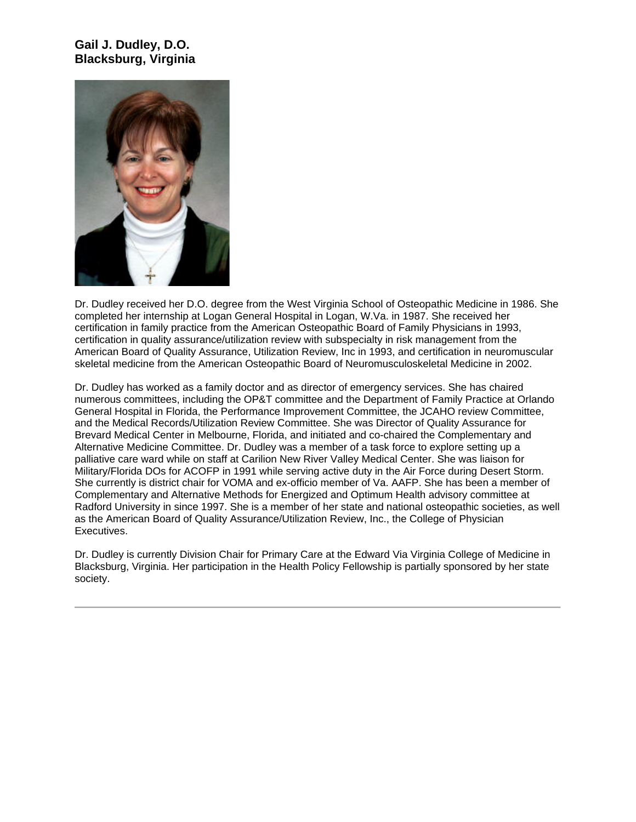# **Gail J. Dudley, D.O. Blacksburg, Virginia**



Dr. Dudley received her D.O. degree from the West Virginia School of Osteopathic Medicine in 1986. She completed her internship at Logan General Hospital in Logan, W.Va. in 1987. She received her certification in family practice from the American Osteopathic Board of Family Physicians in 1993, certification in quality assurance/utilization review with subspecialty in risk management from the American Board of Quality Assurance, Utilization Review, Inc in 1993, and certification in neuromuscular skeletal medicine from the American Osteopathic Board of Neuromusculoskeletal Medicine in 2002.

Dr. Dudley has worked as a family doctor and as director of emergency services. She has chaired numerous committees, including the OP&T committee and the Department of Family Practice at Orlando General Hospital in Florida, the Performance Improvement Committee, the JCAHO review Committee, and the Medical Records/Utilization Review Committee. She was Director of Quality Assurance for Brevard Medical Center in Melbourne, Florida, and initiated and co-chaired the Complementary and Alternative Medicine Committee. Dr. Dudley was a member of a task force to explore setting up a palliative care ward while on staff at Carilion New River Valley Medical Center. She was liaison for Military/Florida DOs for ACOFP in 1991 while serving active duty in the Air Force during Desert Storm. She currently is district chair for VOMA and ex-officio member of Va. AAFP. She has been a member of Complementary and Alternative Methods for Energized and Optimum Health advisory committee at Radford University in since 1997. She is a member of her state and national osteopathic societies, as well as the American Board of Quality Assurance/Utilization Review, Inc., the College of Physician Executives.

Dr. Dudley is currently Division Chair for Primary Care at the Edward Via Virginia College of Medicine in Blacksburg, Virginia. Her participation in the Health Policy Fellowship is partially sponsored by her state society.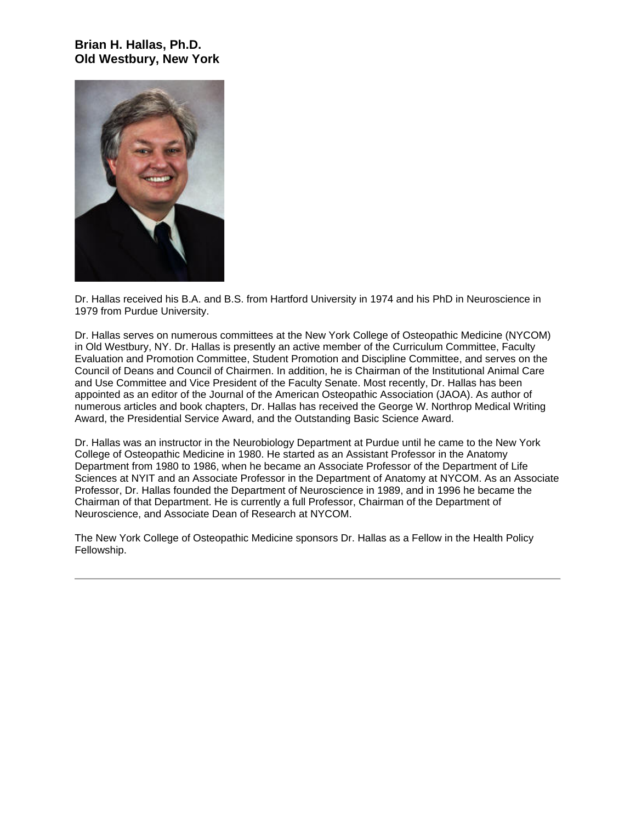## **Brian H. Hallas, Ph.D. Old Westbury, New York**



Dr. Hallas received his B.A. and B.S. from Hartford University in 1974 and his PhD in Neuroscience in 1979 from Purdue University.

Dr. Hallas serves on numerous committees at the New York College of Osteopathic Medicine (NYCOM) in Old Westbury, NY. Dr. Hallas is presently an active member of the Curriculum Committee, Faculty Evaluation and Promotion Committee, Student Promotion and Discipline Committee, and serves on the Council of Deans and Council of Chairmen. In addition, he is Chairman of the Institutional Animal Care and Use Committee and Vice President of the Faculty Senate. Most recently, Dr. Hallas has been appointed as an editor of the Journal of the American Osteopathic Association (JAOA). As author of numerous articles and book chapters, Dr. Hallas has received the George W. Northrop Medical Writing Award, the Presidential Service Award, and the Outstanding Basic Science Award.

Dr. Hallas was an instructor in the Neurobiology Department at Purdue until he came to the New York College of Osteopathic Medicine in 1980. He started as an Assistant Professor in the Anatomy Department from 1980 to 1986, when he became an Associate Professor of the Department of Life Sciences at NYIT and an Associate Professor in the Department of Anatomy at NYCOM. As an Associate Professor, Dr. Hallas founded the Department of Neuroscience in 1989, and in 1996 he became the Chairman of that Department. He is currently a full Professor, Chairman of the Department of Neuroscience, and Associate Dean of Research at NYCOM.

The New York College of Osteopathic Medicine sponsors Dr. Hallas as a Fellow in the Health Policy Fellowship.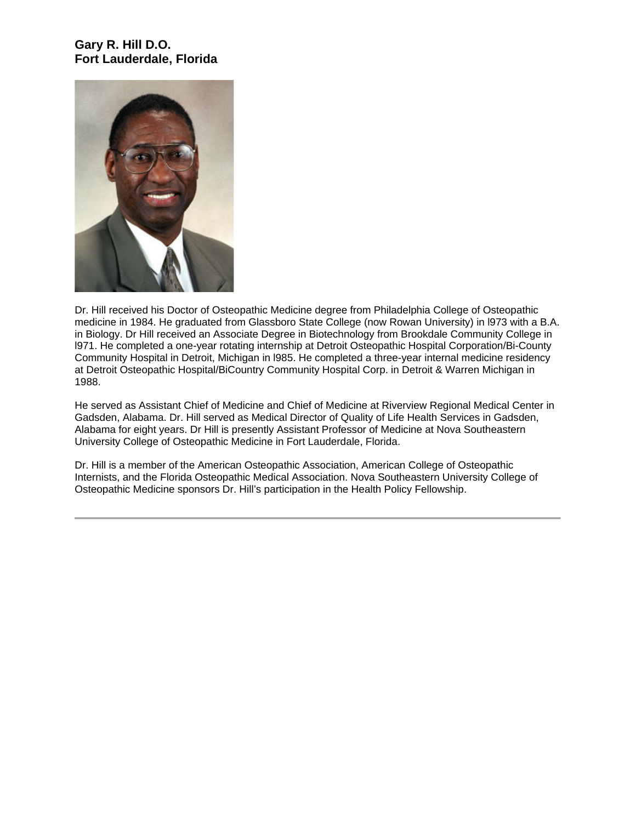### **Gary R. Hill D.O. Fort Lauderdale, Florida**



Dr. Hill received his Doctor of Osteopathic Medicine degree from Philadelphia College of Osteopathic medicine in 1984. He graduated from Glassboro State College (now Rowan University) in l973 with a B.A. in Biology. Dr Hill received an Associate Degree in Biotechnology from Brookdale Community College in l971. He completed a one-year rotating internship at Detroit Osteopathic Hospital Corporation/Bi-County Community Hospital in Detroit, Michigan in l985. He completed a three-year internal medicine residency at Detroit Osteopathic Hospital/BiCountry Community Hospital Corp. in Detroit & Warren Michigan in 1988.

He served as Assistant Chief of Medicine and Chief of Medicine at Riverview Regional Medical Center in Gadsden, Alabama. Dr. Hill served as Medical Director of Quality of Life Health Services in Gadsden, Alabama for eight years. Dr Hill is presently Assistant Professor of Medicine at Nova Southeastern University College of Osteopathic Medicine in Fort Lauderdale, Florida.

Dr. Hill is a member of the American Osteopathic Association, American College of Osteopathic Internists, and the Florida Osteopathic Medical Association. Nova Southeastern University College of Osteopathic Medicine sponsors Dr. Hill's participation in the Health Policy Fellowship.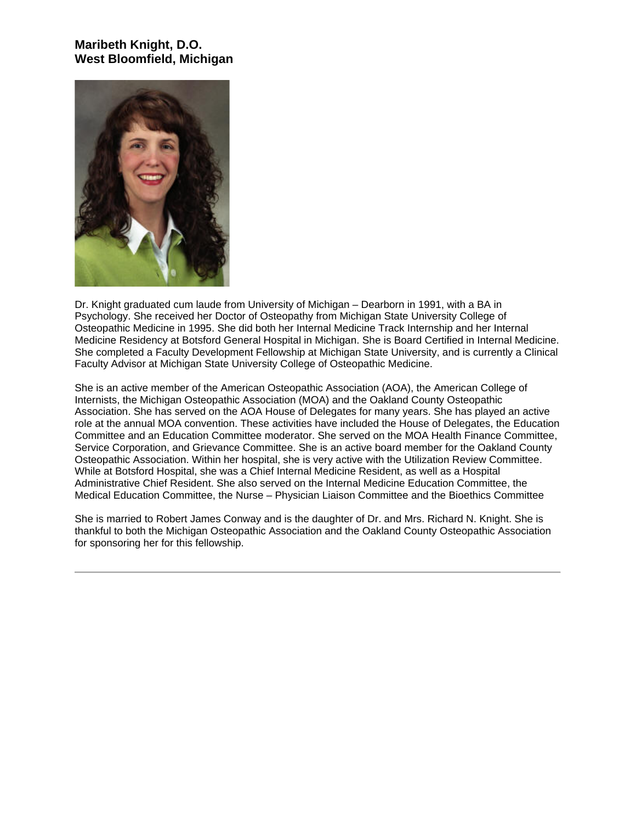## **Maribeth Knight, D.O. West Bloomfield, Michigan**



Dr. Knight graduated cum laude from University of Michigan – Dearborn in 1991, with a BA in Psychology. She received her Doctor of Osteopathy from Michigan State University College of Osteopathic Medicine in 1995. She did both her Internal Medicine Track Internship and her Internal Medicine Residency at Botsford General Hospital in Michigan. She is Board Certified in Internal Medicine. She completed a Faculty Development Fellowship at Michigan State University, and is currently a Clinical Faculty Advisor at Michigan State University College of Osteopathic Medicine.

She is an active member of the American Osteopathic Association (AOA), the American College of Internists, the Michigan Osteopathic Association (MOA) and the Oakland County Osteopathic Association. She has served on the AOA House of Delegates for many years. She has played an active role at the annual MOA convention. These activities have included the House of Delegates, the Education Committee and an Education Committee moderator. She served on the MOA Health Finance Committee, Service Corporation, and Grievance Committee. She is an active board member for the Oakland County Osteopathic Association. Within her hospital, she is very active with the Utilization Review Committee. While at Botsford Hospital, she was a Chief Internal Medicine Resident, as well as a Hospital Administrative Chief Resident. She also served on the Internal Medicine Education Committee, the Medical Education Committee, the Nurse – Physician Liaison Committee and the Bioethics Committee

She is married to Robert James Conway and is the daughter of Dr. and Mrs. Richard N. Knight. She is thankful to both the Michigan Osteopathic Association and the Oakland County Osteopathic Association for sponsoring her for this fellowship.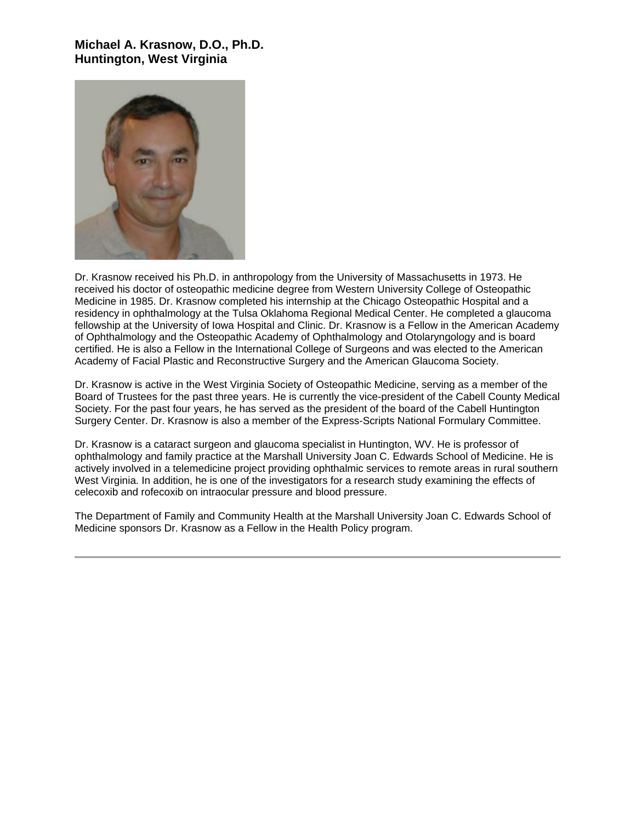# **Michael A. Krasnow, D.O., Ph.D. Huntington, West Virginia**



Dr. Krasnow received his Ph.D. in anthropology from the University of Massachusetts in 1973. He received his doctor of osteopathic medicine degree from Western University College of Osteopathic Medicine in 1985. Dr. Krasnow completed his internship at the Chicago Osteopathic Hospital and a residency in ophthalmology at the Tulsa Oklahoma Regional Medical Center. He completed a glaucoma fellowship at the University of Iowa Hospital and Clinic. Dr. Krasnow is a Fellow in the American Academy of Ophthalmology and the Osteopathic Academy of Ophthalmology and Otolaryngology and is board certified. He is also a Fellow in the International College of Surgeons and was elected to the American Academy of Facial Plastic and Reconstructive Surgery and the American Glaucoma Society.

Dr. Krasnow is active in the West Virginia Society of Osteopathic Medicine, serving as a member of the Board of Trustees for the past three years. He is currently the vice-president of the Cabell County Medical Society. For the past four years, he has served as the president of the board of the Cabell Huntington Surgery Center. Dr. Krasnow is also a member of the Express-Scripts National Formulary Committee.

Dr. Krasnow is a cataract surgeon and glaucoma specialist in Huntington, WV. He is professor of ophthalmology and family practice at the Marshall University Joan C. Edwards School of Medicine. He is actively involved in a telemedicine project providing ophthalmic services to remote areas in rural southern West Virginia. In addition, he is one of the investigators for a research study examining the effects of celecoxib and rofecoxib on intraocular pressure and blood pressure.

The Department of Family and Community Health at the Marshall University Joan C. Edwards School of Medicine sponsors Dr. Krasnow as a Fellow in the Health Policy program.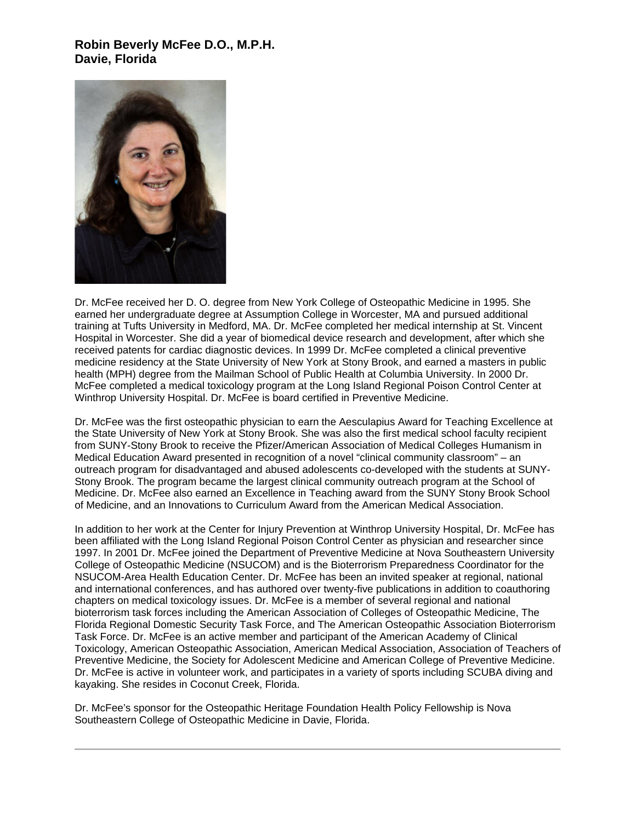### **Robin Beverly McFee D.O., M.P.H. Davie, Florida**



Dr. McFee received her D. O. degree from New York College of Osteopathic Medicine in 1995. She earned her undergraduate degree at Assumption College in Worcester, MA and pursued additional training at Tufts University in Medford, MA. Dr. McFee completed her medical internship at St. Vincent Hospital in Worcester. She did a year of biomedical device research and development, after which she received patents for cardiac diagnostic devices. In 1999 Dr. McFee completed a clinical preventive medicine residency at the State University of New York at Stony Brook, and earned a masters in public health (MPH) degree from the Mailman School of Public Health at Columbia University. In 2000 Dr. McFee completed a medical toxicology program at the Long Island Regional Poison Control Center at Winthrop University Hospital. Dr. McFee is board certified in Preventive Medicine.

Dr. McFee was the first osteopathic physician to earn the Aesculapius Award for Teaching Excellence at the State University of New York at Stony Brook. She was also the first medical school faculty recipient from SUNY-Stony Brook to receive the Pfizer/American Association of Medical Colleges Humanism in Medical Education Award presented in recognition of a novel "clinical community classroom" – an outreach program for disadvantaged and abused adolescents co-developed with the students at SUNY-Stony Brook. The program became the largest clinical community outreach program at the School of Medicine. Dr. McFee also earned an Excellence in Teaching award from the SUNY Stony Brook School of Medicine, and an Innovations to Curriculum Award from the American Medical Association.

In addition to her work at the Center for Injury Prevention at Winthrop University Hospital, Dr. McFee has been affiliated with the Long Island Regional Poison Control Center as physician and researcher since 1997. In 2001 Dr. McFee joined the Department of Preventive Medicine at Nova Southeastern University College of Osteopathic Medicine (NSUCOM) and is the Bioterrorism Preparedness Coordinator for the NSUCOM-Area Health Education Center. Dr. McFee has been an invited speaker at regional, national and international conferences, and has authored over twenty-five publications in addition to coauthoring chapters on medical toxicology issues. Dr. McFee is a member of several regional and national bioterrorism task forces including the American Association of Colleges of Osteopathic Medicine, The Florida Regional Domestic Security Task Force, and The American Osteopathic Association Bioterrorism Task Force. Dr. McFee is an active member and participant of the American Academy of Clinical Toxicology, American Osteopathic Association, American Medical Association, Association of Teachers of Preventive Medicine, the Society for Adolescent Medicine and American College of Preventive Medicine. Dr. McFee is active in volunteer work, and participates in a variety of sports including SCUBA diving and kayaking. She resides in Coconut Creek, Florida.

Dr. McFee's sponsor for the Osteopathic Heritage Foundation Health Policy Fellowship is Nova Southeastern College of Osteopathic Medicine in Davie, Florida.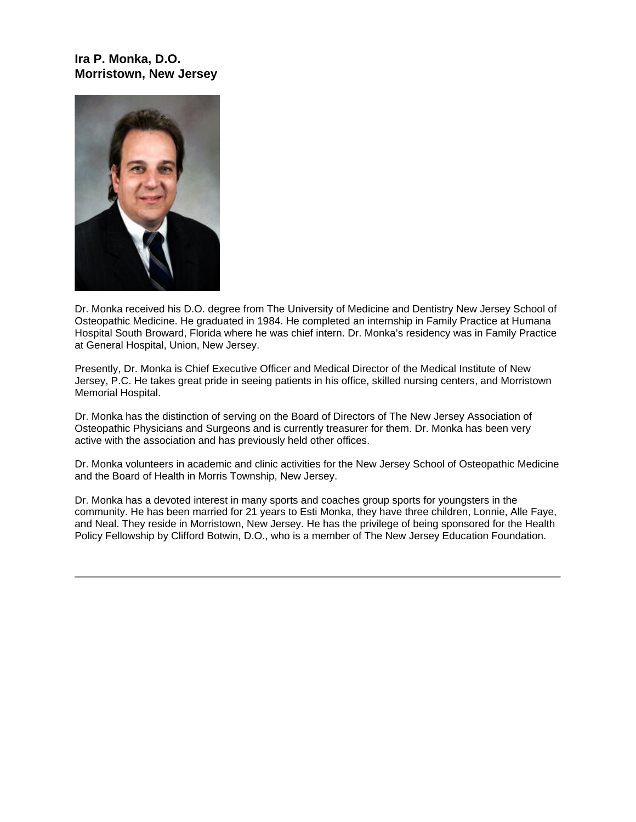## **Ira P. Monka, D.O. Morristown, New Jersey**



Dr. Monka received his D.O. degree from The University of Medicine and Dentistry New Jersey School of Osteopathic Medicine. He graduated in 1984. He completed an internship in Family Practice at Humana Hospital South Broward, Florida where he was chief intern. Dr. Monka's residency was in Family Practice at General Hospital, Union, New Jersey.

Presently, Dr. Monka is Chief Executive Officer and Medical Director of the Medical Institute of New Jersey, P.C. He takes great pride in seeing patients in his office, skilled nursing centers, and Morristown Memorial Hospital.

Dr. Monka has the distinction of serving on the Board of Directors of The New Jersey Association of Osteopathic Physicians and Surgeons and is currently treasurer for them. Dr. Monka has been very active with the association and has previously held other offices.

Dr. Monka volunteers in academic and clinic activities for the New Jersey School of Osteopathic Medicine and the Board of Health in Morris Township, New Jersey.

Dr. Monka has a devoted interest in many sports and coaches group sports for youngsters in the community. He has been married for 21 years to Esti Monka, they have three children, Lonnie, Alle Faye, and Neal. They reside in Morristown, New Jersey. He has the privilege of being sponsored for the Health Policy Fellowship by Clifford Botwin, D.O., who is a member of The New Jersey Education Foundation.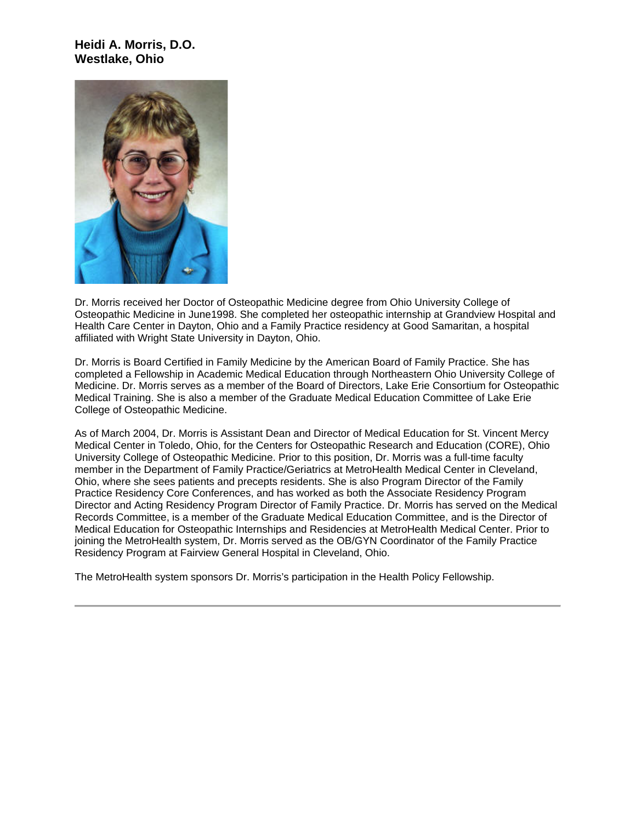#### **Heidi A. Morris, D.O. Westlake, Ohio**



Dr. Morris received her Doctor of Osteopathic Medicine degree from Ohio University College of Osteopathic Medicine in June1998. She completed her osteopathic internship at Grandview Hospital and Health Care Center in Dayton, Ohio and a Family Practice residency at Good Samaritan, a hospital affiliated with Wright State University in Dayton, Ohio.

Dr. Morris is Board Certified in Family Medicine by the American Board of Family Practice. She has completed a Fellowship in Academic Medical Education through Northeastern Ohio University College of Medicine. Dr. Morris serves as a member of the Board of Directors, Lake Erie Consortium for Osteopathic Medical Training. She is also a member of the Graduate Medical Education Committee of Lake Erie College of Osteopathic Medicine.

As of March 2004, Dr. Morris is Assistant Dean and Director of Medical Education for St. Vincent Mercy Medical Center in Toledo, Ohio, for the Centers for Osteopathic Research and Education (CORE), Ohio University College of Osteopathic Medicine. Prior to this position, Dr. Morris was a full-time faculty member in the Department of Family Practice/Geriatrics at MetroHealth Medical Center in Cleveland, Ohio, where she sees patients and precepts residents. She is also Program Director of the Family Practice Residency Core Conferences, and has worked as both the Associate Residency Program Director and Acting Residency Program Director of Family Practice. Dr. Morris has served on the Medical Records Committee, is a member of the Graduate Medical Education Committee, and is the Director of Medical Education for Osteopathic Internships and Residencies at MetroHealth Medical Center. Prior to joining the MetroHealth system, Dr. Morris served as the OB/GYN Coordinator of the Family Practice Residency Program at Fairview General Hospital in Cleveland, Ohio.

The MetroHealth system sponsors Dr. Morris's participation in the Health Policy Fellowship.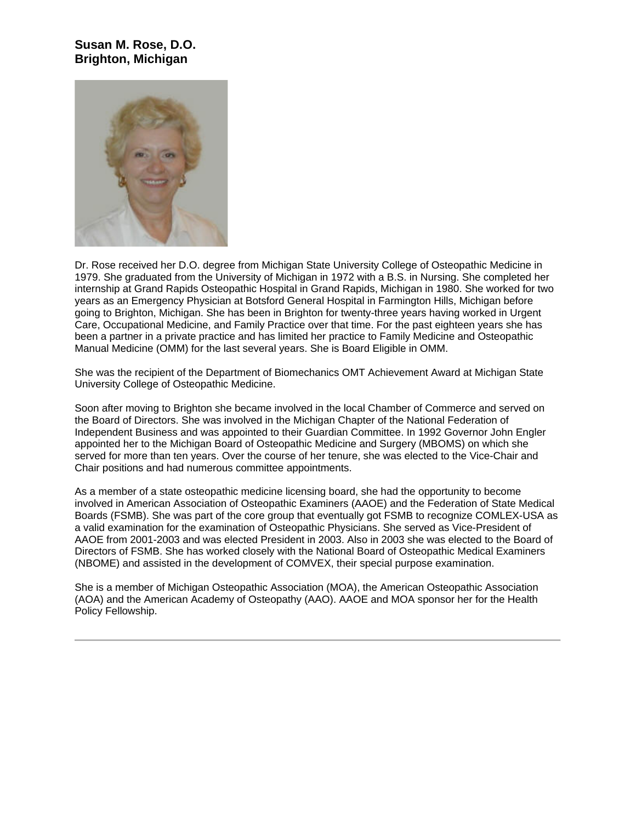### **Susan M. Rose, D.O. Brighton, Michigan**



Dr. Rose received her D.O. degree from Michigan State University College of Osteopathic Medicine in 1979. She graduated from the University of Michigan in 1972 with a B.S. in Nursing. She completed her internship at Grand Rapids Osteopathic Hospital in Grand Rapids, Michigan in 1980. She worked for two years as an Emergency Physician at Botsford General Hospital in Farmington Hills, Michigan before going to Brighton, Michigan. She has been in Brighton for twenty-three years having worked in Urgent Care, Occupational Medicine, and Family Practice over that time. For the past eighteen years she has been a partner in a private practice and has limited her practice to Family Medicine and Osteopathic Manual Medicine (OMM) for the last several years. She is Board Eligible in OMM.

She was the recipient of the Department of Biomechanics OMT Achievement Award at Michigan State University College of Osteopathic Medicine.

Soon after moving to Brighton she became involved in the local Chamber of Commerce and served on the Board of Directors. She was involved in the Michigan Chapter of the National Federation of Independent Business and was appointed to their Guardian Committee. In 1992 Governor John Engler appointed her to the Michigan Board of Osteopathic Medicine and Surgery (MBOMS) on which she served for more than ten years. Over the course of her tenure, she was elected to the Vice-Chair and Chair positions and had numerous committee appointments.

As a member of a state osteopathic medicine licensing board, she had the opportunity to become involved in American Association of Osteopathic Examiners (AAOE) and the Federation of State Medical Boards (FSMB). She was part of the core group that eventually got FSMB to recognize COMLEX-USA as a valid examination for the examination of Osteopathic Physicians. She served as Vice-President of AAOE from 2001-2003 and was elected President in 2003. Also in 2003 she was elected to the Board of Directors of FSMB. She has worked closely with the National Board of Osteopathic Medical Examiners (NBOME) and assisted in the development of COMVEX, their special purpose examination.

She is a member of Michigan Osteopathic Association (MOA), the American Osteopathic Association (AOA) and the American Academy of Osteopathy (AAO). AAOE and MOA sponsor her for the Health Policy Fellowship.